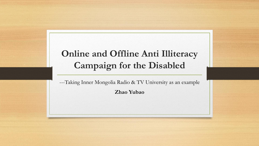#### **Online and Offline Anti Illiteracy Campaign for the Disabled**

---Taking Inner Mongolia Radio & TV University as an example

**Zhao Yubao**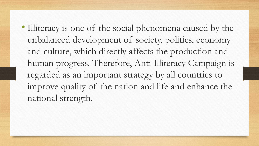• Illiteracy is one of the social phenomena caused by the unbalanced development of society, politics, economy and culture, which directly affects the production and human progress. Therefore, Anti Illiteracy Campaign is regarded as an important strategy by all countries to improve quality of the nation and life and enhance the national strength.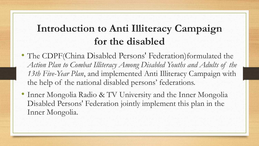## **Introduction to Anti Illiteracy Campaign for the disabled**

- The CDPF(China Disabled Persons' Federation) formulated the *Action Plan to Combat Illiteracy Among Disabled Youths and Adults of the 13th Five-Year Plan*, and implemented Anti Illiteracy Campaign with the help of the national disabled persons' federations.
- Inner Mongolia Radio & TV University and the Inner Mongolia Disabled Persons' Federation jointly implement this plan in the Inner Mongolia.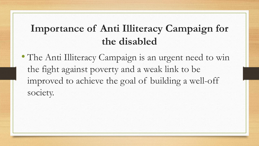## **Importance of Anti Illiteracy Campaign for the disabled**

• The Anti Illiteracy Campaign is an urgent need to win the fight against poverty and a weak link to be improved to achieve the goal of building a well-off society.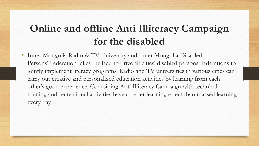### **Online and offline Anti Illiteracy Campaign for the disabled**

• Inner Mongolia Radio & TV University and Inner Mongolia Disabled Persons' Federation takes the lead to drive all cities' disabled persons' federations to jointly implement literacy programs. Radio and TV universities in various cities can carry out creative and personalized education activities by learning from each other's good experience. Combining Anti Illiteracy Campaign with technical training and recreational activities have a better learning effect than massed learning every day.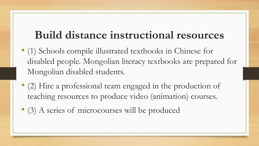# **Build distance instructional resources**

- (1) Schools compile illustrated textbooks in Chinese for disabled people. Mongolian literacy textbooks are prepared for Mongolian disabled students.
- (2) Hire a professional team engaged in the production of teaching resources to produce video (animation) courses.
- (3) A series of microcourses will be produced